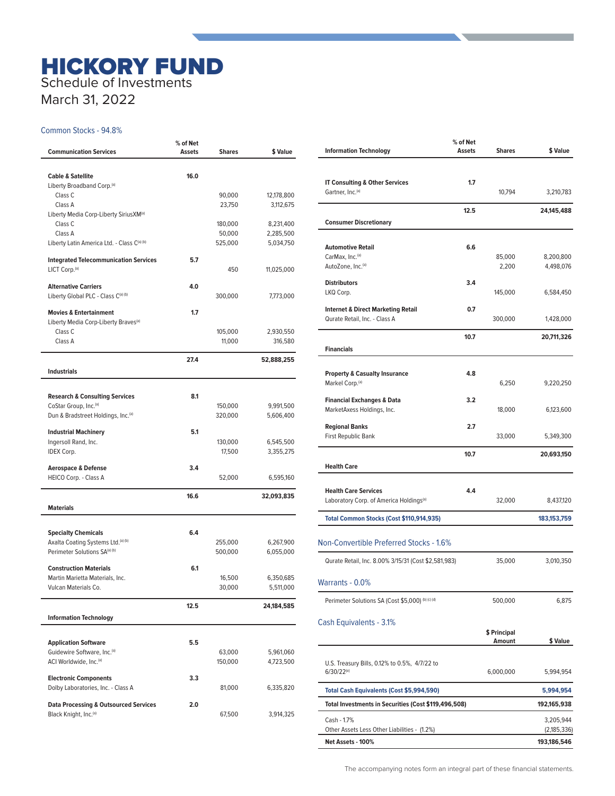## HICKORY FUND Schedule of Investments

March 31, 2022

## Common Stocks - 94.8%

| <b>Communication Services</b>                                     | % of Net<br>Assets | <b>Shares</b>      | \$ Value               |
|-------------------------------------------------------------------|--------------------|--------------------|------------------------|
|                                                                   |                    |                    |                        |
| <b>Cable &amp; Satellite</b>                                      | 16.0               |                    |                        |
| Liberty Broadband Corp. <sup>(a)</sup><br>Class <sub>C</sub>      |                    | 90,000             | 12,178,800             |
| Class A                                                           |                    | 23,750             | 3,112,675              |
| Liberty Media Corp-Liberty SiriusXM <sup>(a)</sup>                |                    |                    |                        |
| Class <sub>C</sub>                                                |                    | 180,000            | 8,231,400              |
| Class A                                                           |                    | 50,000             | 2,285,500              |
| Liberty Latin America Ltd. - Class C(a) (b)                       |                    | 525,000            | 5,034,750              |
| <b>Integrated Telecommunication Services</b>                      | 5.7                |                    |                        |
| LICT Corp. <sup>(a)</sup>                                         |                    | 450                | 11,025,000             |
| <b>Alternative Carriers</b>                                       | 4.0                |                    |                        |
| Liberty Global PLC - Class C(a) (b)                               |                    | 300,000            | 7,773,000              |
| <b>Movies &amp; Entertainment</b>                                 | 1.7                |                    |                        |
| Liberty Media Corp-Liberty Braves <sup>(a)</sup>                  |                    |                    |                        |
| Class <sub>C</sub>                                                |                    | 105,000            | 2,930,550              |
| Class A                                                           |                    | 11,000             | 316,580                |
|                                                                   | 27.4               |                    | 52,888,255             |
| <b>Industrials</b>                                                |                    |                    |                        |
|                                                                   |                    |                    |                        |
| <b>Research &amp; Consulting Services</b>                         | 8.1                |                    |                        |
| CoStar Group, Inc. <sup>(a)</sup>                                 |                    | 150,000            | 9,991,500              |
| Dun & Bradstreet Holdings, Inc. <sup>(a)</sup>                    |                    | 320,000            | 5,606,400              |
| <b>Industrial Machinery</b>                                       | 5.1                |                    |                        |
| Ingersoll Rand, Inc.                                              |                    | 130,000            | 6,545,500              |
| <b>IDEX Corp.</b>                                                 |                    | 17,500             | 3,355,275              |
| <b>Aerospace &amp; Defense</b>                                    | 3.4                |                    |                        |
| HEICO Corp. - Class A                                             |                    | 52,000             | 6,595,160              |
|                                                                   | 16.6               |                    | 32,093,835             |
| <b>Materials</b>                                                  |                    |                    |                        |
|                                                                   |                    |                    |                        |
| <b>Specialty Chemicals</b><br>Axalta Coating Systems Ltd.(a) (b)  | 6.4                |                    |                        |
| Perimeter Solutions SA(a) (b)                                     |                    | 255,000<br>500,000 | 6,267,900<br>6,055,000 |
|                                                                   |                    |                    |                        |
| <b>Construction Materials</b>                                     | 6.1                |                    |                        |
| Martin Marietta Materials, Inc.                                   |                    | 16,500             | 6,350,685              |
| Vulcan Materials Co.                                              |                    | 30,000             | 5,511,000              |
|                                                                   | 12.5               |                    | 24,184,585             |
| <b>Information Technology</b>                                     |                    |                    |                        |
|                                                                   |                    |                    |                        |
| <b>Application Software</b>                                       | 5.5                |                    |                        |
| Guidewire Software, Inc. <sup>(a)</sup><br>ACI Worldwide, Inc.(a) |                    | 63,000             | 5,961,060              |
|                                                                   |                    | 150,000            | 4,723,500              |
| <b>Electronic Components</b>                                      | 3.3                |                    |                        |
| Dolby Laboratories, Inc. - Class A                                |                    | 81,000             | 6,335,820              |
| <b>Data Processing &amp; Outsourced Services</b>                  | 2.0                |                    |                        |
| Black Knight, Inc. <sup>(a)</sup>                                 |                    | 67,500             | 3,914,325              |
|                                                                   |                    |                    |                        |

| 1.7<br><b>IT Consulting &amp; Other Services</b><br>Gartner, Inc. <sup>(a)</sup><br>10,794 | 3,210,783<br>24,145,488    |
|--------------------------------------------------------------------------------------------|----------------------------|
|                                                                                            |                            |
|                                                                                            |                            |
|                                                                                            |                            |
| 12.5<br><b>Consumer Discretionary</b>                                                      |                            |
|                                                                                            |                            |
| <b>Automotive Retail</b><br>6.6                                                            |                            |
| CarMax, Inc. <sup>(a)</sup><br>85,000<br>AutoZone, Inc. <sup>(a)</sup><br>2,200            | 8,200,800<br>4,498,076     |
| <b>Distributors</b><br>3.4                                                                 |                            |
| LKQ Corp.<br>145,000                                                                       | 6,584,450                  |
| 0.7<br><b>Internet &amp; Direct Marketing Retail</b>                                       |                            |
| Qurate Retail, Inc. - Class A<br>300,000                                                   | 1,428,000                  |
| 10.7                                                                                       | 20,711,326                 |
| <b>Financials</b>                                                                          |                            |
| <b>Property &amp; Casualty Insurance</b><br>4.8                                            |                            |
| Markel Corp. <sup>(a)</sup><br>6,250                                                       | 9,220,250                  |
| <b>Financial Exchanges &amp; Data</b><br>3.2                                               |                            |
| MarketAxess Holdings, Inc.<br>18,000                                                       | 6,123,600                  |
| 2.7<br><b>Regional Banks</b><br>First Republic Bank<br>33,000                              | 5,349,300                  |
|                                                                                            |                            |
| 10.7<br><b>Health Care</b>                                                                 | 20,693,150                 |
|                                                                                            |                            |
| <b>Health Care Services</b><br>4.4                                                         |                            |
| Laboratory Corp. of America Holdings <sup>(a)</sup><br>32,000                              | 8,437,120                  |
| Total Common Stocks (Cost \$110,914,935)                                                   | 183, 153, 759              |
| Non-Convertible Preferred Stocks - 1.6%                                                    |                            |
| Qurate Retail, Inc. 8.00% 3/15/31 (Cost \$2,581,983)<br>35,000                             | 3,010,350                  |
|                                                                                            |                            |
| Warrants - 0.0%                                                                            |                            |
| Perimeter Solutions SA (Cost \$5,000) (b) (c) (d)<br>500,000                               | 6,875                      |
| Cash Equivalents - 3.1%                                                                    |                            |
| \$ Principal<br>Amount                                                                     | \$ Value                   |
| U.S. Treasury Bills, 0.12% to 0.5%, 4/7/22 to                                              |                            |
| $6/30/22^{(e)}$<br>6,000,000                                                               | 5,994,954                  |
| <b>Total Cash Equivalents (Cost \$5,994,590)</b>                                           | 5,994,954                  |
| Total Investments in Securities (Cost \$119,496,508)                                       | 192,165,938                |
| Cash - 1.7%                                                                                | 3,205,944                  |
| Other Assets Less Other Liabilities - (1.2%)<br>Net Assets - 100%                          | (2,185,336)<br>193,186,546 |

The accompanying notes form an integral part of these financial statements.